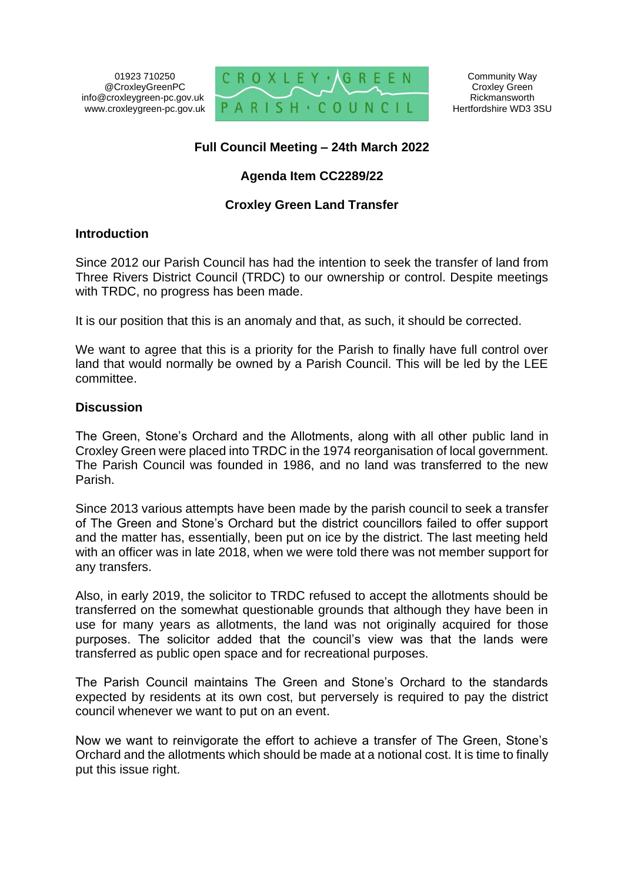01923 710250 @CroxleyGreenPC info@croxleygreen-pc.gov.uk www.croxleygreen-pc.gov.uk



# **Full Council Meeting – 24th March 2022**

# **Agenda Item CC2289/22**

# **Croxley Green Land Transfer**

### **Introduction**

Since 2012 our Parish Council has had the intention to seek the transfer of land from Three Rivers District Council (TRDC) to our ownership or control. Despite meetings with TRDC, no progress has been made.

It is our position that this is an anomaly and that, as such, it should be corrected.

We want to agree that this is a priority for the Parish to finally have full control over land that would normally be owned by a Parish Council. This will be led by the LEE committee.

### **Discussion**

The Green, Stone's Orchard and the Allotments, along with all other public land in Croxley Green were placed into TRDC in the 1974 reorganisation of local government. The Parish Council was founded in 1986, and no land was transferred to the new Parish.

Since 2013 various attempts have been made by the parish council to seek a transfer of The Green and Stone's Orchard but the district councillors failed to offer support and the matter has, essentially, been put on ice by the district. The last meeting held with an officer was in late 2018, when we were told there was not member support for any transfers.

Also, in early 2019, the solicitor to TRDC refused to accept the allotments should be transferred on the somewhat questionable grounds that although they have been in use for many years as allotments, the land was not originally acquired for those purposes. The solicitor added that the council's view was that the lands were transferred as public open space and for recreational purposes.

The Parish Council maintains The Green and Stone's Orchard to the standards expected by residents at its own cost, but perversely is required to pay the district council whenever we want to put on an event.

Now we want to reinvigorate the effort to achieve a transfer of The Green, Stone's Orchard and the allotments which should be made at a notional cost. It is time to finally put this issue right.